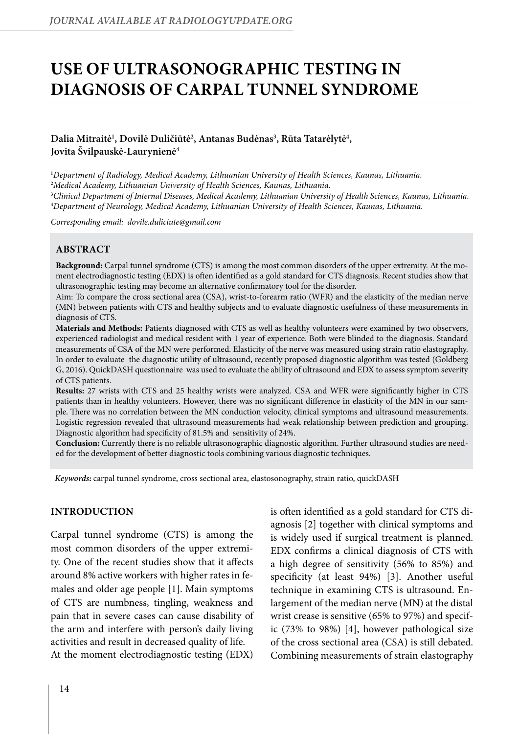# **Use of ultrasonographic testing in diagnosis of carpal tunnel syndrome**

# Dalia Mitraitė<sup>1</sup>, Dovilė Duličiūtė<sup>2</sup>, Antanas Budėnas<sup>3</sup>, Rūta Tatarėlytė<sup>4</sup>, **Jovita Švilpauskė-Laurynienė4**

 *Department of Radiology, Medical Academy, Lithuanian University of Health Sciences, Kaunas, Lithuania. Medical Academy, Lithuanian University of Health Sciences, Kaunas, Lithuania. Clinical Department of Internal Diseases, Medical Academy, Lithuanian University of Health Sciences, Kaunas, Lithuania. Department of Neurology, Medical Academy, Lithuanian University of Health Sciences, Kaunas, Lithuania.*

*Corresponding email: dovile.duliciute@gmail.com*

### **Abstract**

**Background:** Carpal tunnel syndrome (CTS) is among the most common disorders of the upper extremity. At the moment electrodiagnostic testing (EDX) is often identified as a gold standard for CTS diagnosis. Recent studies show that ultrasonographic testing may become an alternative confirmatory tool for the disorder.

Aim: To compare the cross sectional area (CSA), wrist-to-forearm ratio (WFR) and the elasticity of the median nerve (MN) between patients with CTS and healthy subjects and to evaluate diagnostic usefulness of these measurements in diagnosis of CTS.

**Materials and Methods:** Patients diagnosed with CTS as well as healthy volunteers were examined by two observers, experienced radiologist and medical resident with 1 year of experience. Both were blinded to the diagnosis. Standard measurements of CSA of the MN were performed. Elasticity of the nerve was measured using strain ratio elastography. In order to evaluate the diagnostic utility of ultrasound, recently proposed diagnostic algorithm was tested (Goldberg G, 2016). QuickDASH questionnaire was used to evaluate the ability of ultrasound and EDX to assess symptom severity of CTS patients.

**Results:** 27 wrists with CTS and 25 healthy wrists were analyzed. CSA and WFR were significantly higher in CTS patients than in healthy volunteers. However, there was no significant difference in elasticity of the MN in our sample. There was no correlation between the MN conduction velocity, clinical symptoms and ultrasound measurements. Logistic regression revealed that ultrasound measurements had weak relationship between prediction and grouping. Diagnostic algorithm had specificity of 81.5% and sensitivity of 24%.

**Conclusion:** Currently there is no reliable ultrasonographic diagnostic algorithm. Further ultrasound studies are needed for the development of better diagnostic tools combining various diagnostic techniques.

*Keywords***:** carpal tunnel syndrome, cross sectional area, elastosonography, strain ratio, quickDASH

#### **Introduction**

Carpal tunnel syndrome (CTS) is among the most common disorders of the upper extremity. One of the recent studies show that it affects around 8% active workers with higher rates in females and older age people [1]. Main symptoms of CTS are numbness, tingling, weakness and pain that in severe cases can cause disability of the arm and interfere with person's daily living activities and result in decreased quality of life. At the moment electrodiagnostic testing (EDX)

is often identified as a gold standard for CTS diagnosis [2] together with clinical symptoms and is widely used if surgical treatment is planned. EDX confirms a clinical diagnosis of CTS with a high degree of sensitivity (56% to 85%) and specificity (at least 94%) [3]. Another useful technique in examining CTS is ultrasound. Enlargement of the median nerve (MN) at the distal wrist crease is sensitive (65% to 97%) and specific (73% to 98%) [4], however pathological size of the cross sectional area (CSA) is still debated. Combining measurements of strain elastography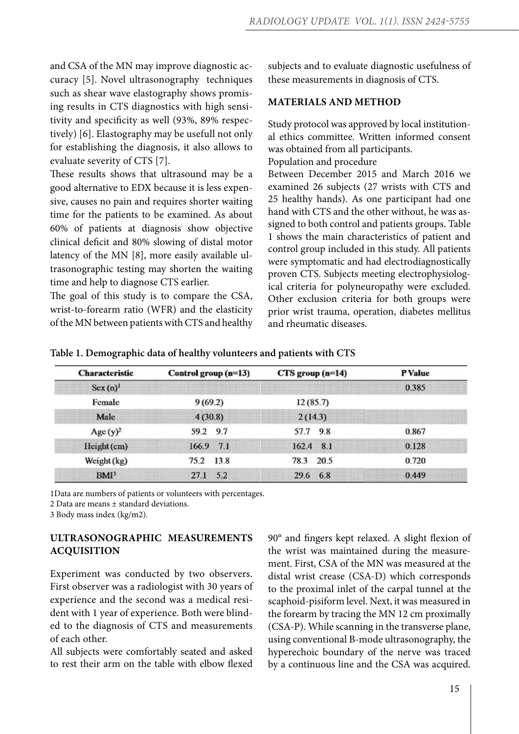and CSA of the MN may improve diagnostic accuracy [5]. Novel ultrasonography techniques such as shear wave elastography shows promising results in CTS diagnostics with high sensitivity and specificity as well (93%, 89% respectively) [6]. Elastography may be usefull not only for establishing the diagnosis, it also allows to evaluate severity of CTS [7].

These results shows that ultrasound may be a good alternative to EDX because it is less expensive, causes no pain and requires shorter waiting time for the patients to be examined. As about 60% of patients at diagnosis show objective clinical deficit and 80% slowing of distal motor latency of the MN [8], more easily available ultrasonographic testing may shorten the waiting time and help to diagnose CTS earlier.

The goal of this study is to compare the CSA, wrist-to-forearm ratio (WFR) and the elasticity of the MN between patients with CTS and healthy subjects and to evaluate diagnostic usefulness of these measurements in diagnosis of CTS.

#### **Materials and Method**

Study protocol was approved by local institutional ethics committee. Written informed consent was obtained from all participants. Population and procedure Between December 2015 and March 2016 we examined 26 subjects (27 wrists with CTS and 25 healthy hands). As one participant had one hand with CTS and the other without, he was assigned to both control and patients groups. Table 1 shows the main characteristics of patient and control group included in this study. All patients were symptomatic and had electrodiagnostically proven CTS. Subjects meeting electrophysiological criteria for polyneuropathy were excluded. Other exclusion criteria for both groups were prior wrist trauma, operation, diabetes mellitus and rheumatic diseases.

| <b>Characteristic</b> | Control group $(n=13)$ | $CTS$ group $(n=14)$ | <b>P</b> Value |
|-----------------------|------------------------|----------------------|----------------|
| Sex(n)                |                        |                      | 0.385          |
| Female                | 9(69.2)                | 12(85.7)             |                |
| Male                  | 4(30.8)                | 2(14.3)              |                |
| Age $(y)^2$           | 59.2 9.7               | 57.7<br>9.8          | 0.867          |
| Height (cm)           | 166.9 7.1              | $162.4$ 8.1          | 0.128          |
| Weight (kg)           | 13.8<br>75.2           | 20.5<br>78.3         | 0.720          |
| BMI <sup>3</sup>      | 5.2<br>27.1            | 29.6<br>6.8          | 0.449          |

**Table 1. Demographic data of healthy volunteers and patients with CTS** 

1Data are numbers of patients or volunteers with percentages.

2 Data are means ± standard deviations.

3 Body mass index (kg/m2).

## **Ultrasonographic measurements acquisition**

Experiment was conducted by two observers. First observer was a radiologist with 30 years of experience and the second was a medical resident with 1 year of experience. Both were blinded to the diagnosis of CTS and measurements of each other.

All subjects were comfortably seated and asked to rest their arm on the table with elbow flexed 90° and fingers kept relaxed. A slight flexion of the wrist was maintained during the measurement. First, CSA of the MN was measured at the distal wrist crease (CSA-D) which corresponds to the proximal inlet of the carpal tunnel at the scaphoid-pisiform level. Next, it was measured in the forearm by tracing the MN 12 cm proximally (CSA-P). While scanning in the transverse plane, using conventional B-mode ultrasonography, the hyperechoic boundary of the nerve was traced by a continuous line and the CSA was acquired.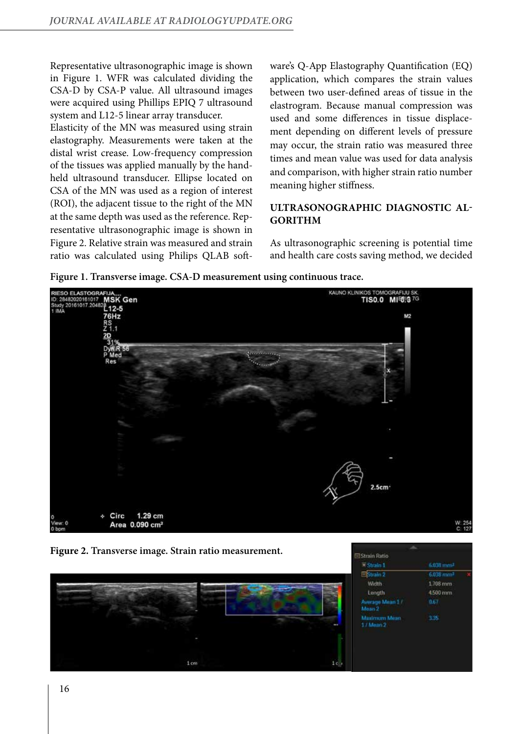Representative ultrasonographic image is shown in Figure 1. WFR was calculated dividing the CSA-D by CSA-P value. All ultrasound images were acquired using Phillips EPIQ 7 ultrasound system and L12-5 linear array transducer.

Elasticity of the MN was measured using strain elastography. Measurements were taken at the distal wrist crease. Low-frequency compression of the tissues was applied manually by the handheld ultrasound transducer. Ellipse located on CSA of the MN was used as a region of interest (ROI), the adjacent tissue to the right of the MN at the same depth was used as the reference. Representative ultrasonographic image is shown in Figure 2. Relative strain was measured and strain ratio was calculated using Philips QLAB software's Q-App Elastography Quantification (EQ) application, which compares the strain values between two user-defined areas of tissue in the elastrogram. Because manual compression was used and some differences in tissue displacement depending on different levels of pressure may occur, the strain ratio was measured three times and mean value was used for data analysis and comparison, with higher strain ratio number meaning higher stiffness.

# **Ultrasonographic diagnostic algorithm**

As ultrasonographic screening is potential time and health care costs saving method, we decided

Strain Ratio

**Figure 1. Transverse image. CSA-D measurement using continuous trace.**



**Figure 2. Transverse image. Strain ratio measurement.**

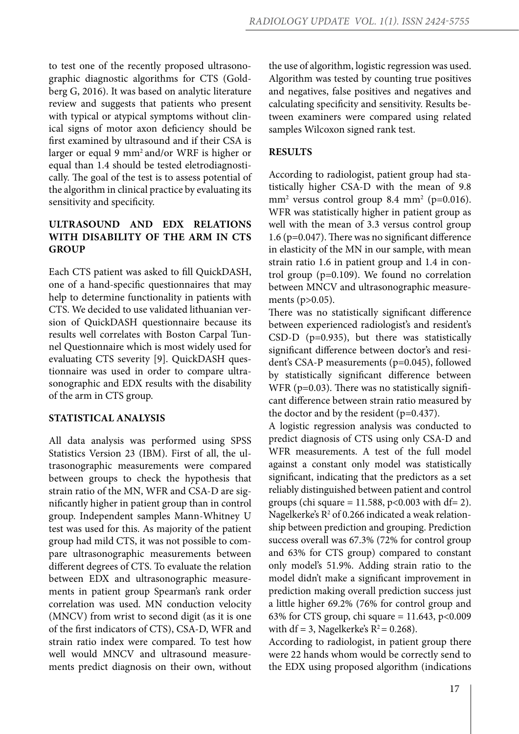to test one of the recently proposed ultrasonographic diagnostic algorithms for CTS (Goldberg G, 2016). It was based on analytic literature review and suggests that patients who present with typical or atypical symptoms without clinical signs of motor axon deficiency should be first examined by ultrasound and if their CSA is larger or equal 9 mm2 and/or WRF is higher or equal than 1.4 should be tested eletrodiagnostically. The goal of the test is to assess potential of the algorithm in clinical practice by evaluating its sensitivity and specificity.

# **Ultrasound and EDX relations with disability of the arm in CTS group**

Each CTS patient was asked to fill QuickDASH, one of a hand-specific questionnaires that may help to determine functionality in patients with CTS. We decided to use validated lithuanian version of QuickDASH questionnaire because its results well correlates with Boston Carpal Tunnel Questionnaire which is most widely used for evaluating CTS severity [9]. QuickDASH questionnaire was used in order to compare ultrasonographic and EDX results with the disability of the arm in CTS group.

### **Statistical analysis**

All data analysis was performed using SPSS Statistics Version 23 (IBM). First of all, the ultrasonographic measurements were compared between groups to check the hypothesis that strain ratio of the MN, WFR and CSA-D are significantly higher in patient group than in control group. Independent samples Mann-Whitney U test was used for this. As majority of the patient group had mild CTS, it was not possible to compare ultrasonographic measurements between different degrees of CTS. To evaluate the relation between EDX and ultrasonographic measurements in patient group Spearman's rank order correlation was used. MN conduction velocity (MNCV) from wrist to second digit (as it is one of the first indicators of CTS), CSA-D, WFR and strain ratio index were compared. To test how well would MNCV and ultrasound measurements predict diagnosis on their own, without the use of algorithm, logistic regression was used. Algorithm was tested by counting true positives and negatives, false positives and negatives and calculating specificity and sensitivity. Results between examiners were compared using related samples Wilcoxon signed rank test.

## **Results**

According to radiologist, patient group had statistically higher CSA-D with the mean of 9.8 mm<sup>2</sup> versus control group 8.4 mm<sup>2</sup> (p=0.016). WFR was statistically higher in patient group as well with the mean of 3.3 versus control group 1.6 (p=0.047). There was no significant difference in elasticity of the MN in our sample, with mean strain ratio 1.6 in patient group and 1.4 in control group (p=0.109). We found no correlation between MNCV and ultrasonographic measurements (p>0.05).

There was no statistically significant difference between experienced radiologist's and resident's CSD-D (p=0.935), but there was statistically significant difference between doctor's and resident's CSA-P measurements (p=0.045), followed by statistically significant difference between WFR ( $p=0.03$ ). There was no statistically significant difference between strain ratio measured by the doctor and by the resident  $(p=0.437)$ .

A logistic regression analysis was conducted to predict diagnosis of CTS using only CSA-D and WFR measurements. A test of the full model against a constant only model was statistically significant, indicating that the predictors as a set reliably distinguished between patient and control groups (chi square = 11.588,  $p < 0.003$  with df= 2). Nagelkerke's  $R^2$  of 0.266 indicated a weak relationship between prediction and grouping. Prediction success overall was 67.3% (72% for control group and 63% for CTS group) compared to constant only model's 51.9%. Adding strain ratio to the model didn't make a significant improvement in prediction making overall prediction success just a little higher 69.2% (76% for control group and 63% for CTS group, chi square =  $11.643$ , p<0.009 with df = 3, Nagelkerke's  $R^2$  = 0.268).

According to radiologist, in patient group there were 22 hands whom would be correctly send to the EDX using proposed algorithm (indications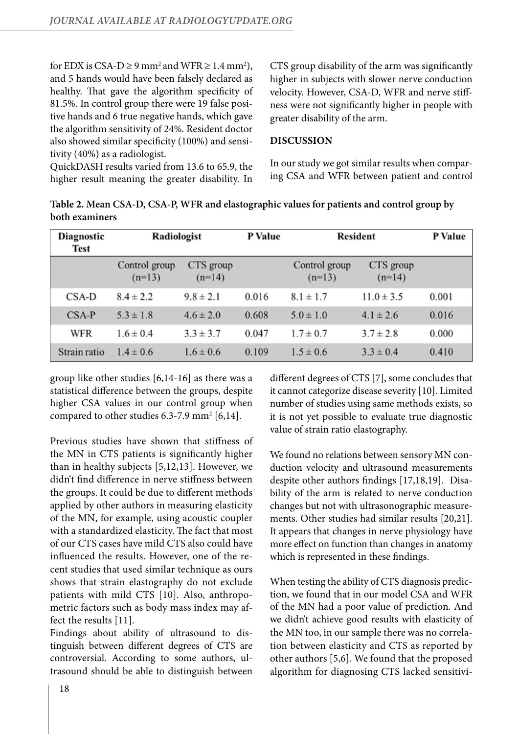for EDX is CSA-D  $\geq$  9 mm<sup>2</sup> and WFR  $\geq$  1.4 mm<sup>2</sup>), and 5 hands would have been falsely declared as healthy. That gave the algorithm specificity of 81.5%. In control group there were 19 false positive hands and 6 true negative hands, which gave the algorithm sensitivity of 24%. Resident doctor also showed similar specificity (100%) and sensitivity (40%) as a radiologist.

QuickDASH results varied from 13.6 to 65.9, the higher result meaning the greater disability. In CTS group disability of the arm was significantly higher in subjects with slower nerve conduction velocity. However, CSA-D, WFR and nerve stiffness were not significantly higher in people with greater disability of the arm.

#### **Discussion**

In our study we got similar results when comparing CSA and WFR between patient and control

**Table 2. Mean CSA-D, CSA-P, WFR and elastographic values for patients and control group by both examiners**

| Diagnostic<br>Test | Radiologist               |                       | P Value | Resident                  |                       | P Value |
|--------------------|---------------------------|-----------------------|---------|---------------------------|-----------------------|---------|
|                    | Control group<br>$(n=13)$ | CTS group<br>$(n=14)$ |         | Control group<br>$(n=13)$ | CTS group<br>$(n=14)$ |         |
| CSA-D              | $8.4 \pm 2.2$             | $9.8 \pm 2.1$         | 0.016   | $8.1 \pm 1.7$             | $11.0 \pm 3.5$        | 0.001   |
| CSA-P              | $5.3 \pm 1.8$             | $4.6 \pm 2.0$         | 0.608   | $5.0 \pm 1.0$             | $4.1 \pm 2.6$         | 0.016   |
| WFR                | $1.6 \pm 0.4$             | $3.3 \pm 3.7$         | 0.047   | $1.7 \pm 0.7$             | $3.7 \pm 2.8$         | 0.000   |
| Strain ratio       | $1.4 \pm 0.6$             | $1.6 \pm 0.6$         | 0.109   | $1.5 \pm 0.6$             | $3.3 \pm 0.4$         | 0.410   |

group like other studies [6,14-16] as there was a statistical difference between the groups, despite higher CSA values in our control group when compared to other studies  $6.3$ -7.9 mm<sup>2</sup> [6,14].

Previous studies have shown that stiffness of the MN in CTS patients is significantly higher than in healthy subjects [5,12,13]. However, we didn't find difference in nerve stiffness between the groups. It could be due to different methods applied by other authors in measuring elasticity of the MN, for example, using acoustic coupler with a standardized elasticity. The fact that most of our CTS cases have mild CTS also could have influenced the results. However, one of the recent studies that used similar technique as ours shows that strain elastography do not exclude patients with mild CTS [10]. Also, anthropometric factors such as body mass index may affect the results [11].

Findings about ability of ultrasound to distinguish between different degrees of CTS are controversial. According to some authors, ultrasound should be able to distinguish between different degrees of CTS [7], some concludes that it cannot categorize disease severity [10]. Limited number of studies using same methods exists, so it is not yet possible to evaluate true diagnostic value of strain ratio elastography.

We found no relations between sensory MN conduction velocity and ultrasound measurements despite other authors findings [17,18,19]. Disability of the arm is related to nerve conduction changes but not with ultrasonographic measurements. Other studies had similar results [20,21]. It appears that changes in nerve physiology have more effect on function than changes in anatomy which is represented in these findings.

When testing the ability of CTS diagnosis prediction, we found that in our model CSA and WFR of the MN had a poor value of prediction. And we didn't achieve good results with elasticity of the MN too, in our sample there was no correlation between elasticity and CTS as reported by other authors [5,6]. We found that the proposed algorithm for diagnosing CTS lacked sensitivi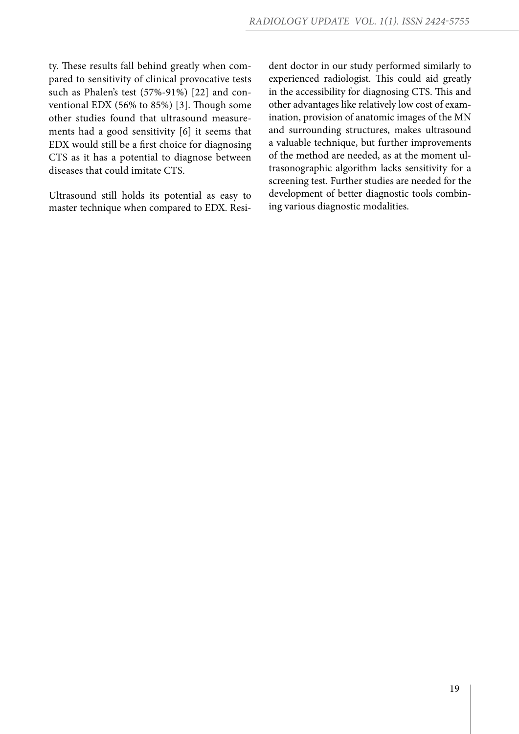ty. These results fall behind greatly when compared to sensitivity of clinical provocative tests such as Phalen's test (57%-91%) [22] and conventional EDX (56% to 85%) [3]. Though some other studies found that ultrasound measurements had a good sensitivity [6] it seems that EDX would still be a first choice for diagnosing CTS as it has a potential to diagnose between diseases that could imitate CTS.

Ultrasound still holds its potential as easy to master technique when compared to EDX. Resi-

dent doctor in our study performed similarly to experienced radiologist. This could aid greatly in the accessibility for diagnosing CTS. This and other advantages like relatively low cost of examination, provision of anatomic images of the MN and surrounding structures, makes ultrasound a valuable technique, but further improvements of the method are needed, as at the moment ultrasonographic algorithm lacks sensitivity for a screening test. Further studies are needed for the development of better diagnostic tools combining various diagnostic modalities.